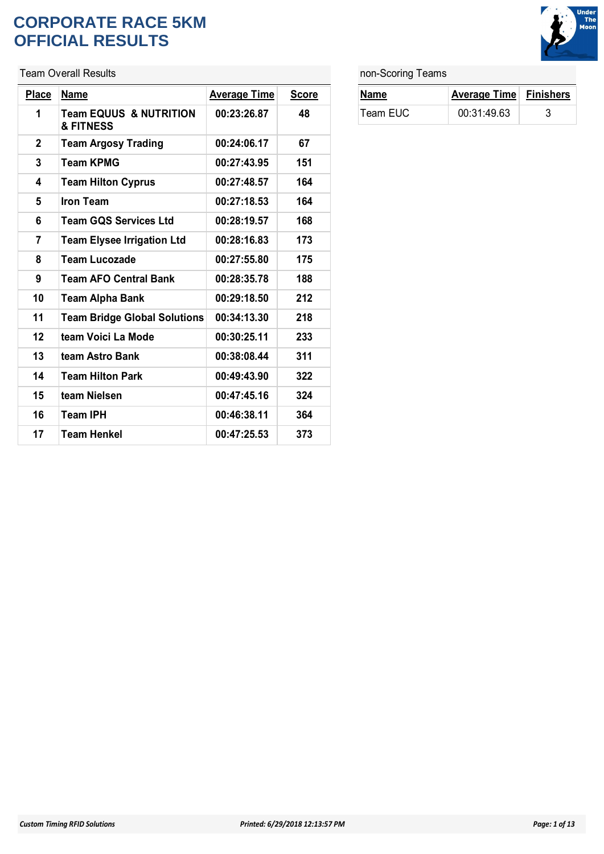#### **CORPORATE RACE 5KM OFFICIAL RESULTS**

Team Overall Results

| <b>Place</b> | <b>Name</b>                                    | <b>Average Time</b> | <b>Score</b> |
|--------------|------------------------------------------------|---------------------|--------------|
| 1            | <b>Team EQUUS &amp; NUTRITION</b><br>& FITNESS | 00:23:26.87         | 48           |
| $\mathbf 2$  | <b>Team Argosy Trading</b>                     | 00:24:06.17         | 67           |
| 3            | <b>Team KPMG</b>                               | 00:27:43.95         | 151          |
| 4            | <b>Team Hilton Cyprus</b>                      | 00:27:48.57         | 164          |
| 5            | <b>Iron Team</b>                               | 00:27:18.53         | 164          |
| 6            | <b>Team GOS Services Ltd</b>                   | 00:28:19.57         | 168          |
| 7            | <b>Team Elysee Irrigation Ltd</b>              | 00:28:16.83         | 173          |
| 8            | <b>Team Lucozade</b>                           | 00:27:55.80         | 175          |
| 9            | <b>Team AFO Central Bank</b>                   | 00:28:35.78         | 188          |
| 10           | <b>Team Alpha Bank</b>                         | 00:29:18.50         | 212          |
| 11           | <b>Team Bridge Global Solutions</b>            | 00:34:13.30         | 218          |
| 12           | team Voici La Mode                             | 00:30:25.11         | 233          |
| 13           | team Astro Bank                                | 00:38:08.44         | 311          |
| 14           | <b>Team Hilton Park</b>                        | 00:49:43.90         | 322          |
| 15           | team Nielsen                                   | 00:47:45.16         | 324          |
| 16           | <b>Team IPH</b>                                | 00:46:38.11         | 364          |
| 17           | <b>Team Henkel</b>                             | 00:47:25.53         | 373          |

#### non-Scoring Teams

| Name     | <b>Average Time Finishers</b> |  |
|----------|-------------------------------|--|
| Team EUC | 00:31:49.63                   |  |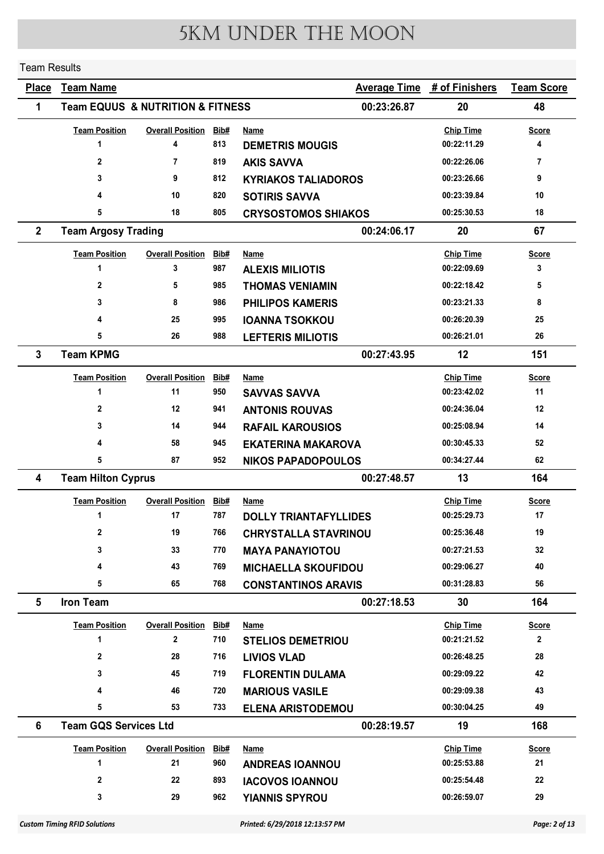#### Team Results

| <b>Place</b>            | <b>Team Name</b>                                |                         |      |                              | <b>Average Time</b> | # of Finishers   | <b>Team Score</b> |
|-------------------------|-------------------------------------------------|-------------------------|------|------------------------------|---------------------|------------------|-------------------|
| 1                       | <b>Team EQUUS &amp; NUTRITION &amp; FITNESS</b> |                         |      |                              | 00:23:26.87         | 20               | 48                |
|                         | <b>Team Position</b>                            | <b>Overall Position</b> | Bib# | Name                         |                     | <b>Chip Time</b> | <b>Score</b>      |
|                         | 1                                               | 4                       | 813  | <b>DEMETRIS MOUGIS</b>       |                     | 00:22:11.29      | 4                 |
|                         | $\mathbf{2}$                                    | 7                       | 819  | <b>AKIS SAVVA</b>            |                     | 00:22:26.06      | 7                 |
|                         | 3                                               | 9                       | 812  | <b>KYRIAKOS TALIADOROS</b>   |                     | 00:23:26.66      | 9                 |
|                         | 4                                               | 10                      | 820  | <b>SOTIRIS SAVVA</b>         |                     | 00:23:39.84      | 10                |
|                         | 5                                               | 18                      | 805  | <b>CRYSOSTOMOS SHIAKOS</b>   |                     | 00:25:30.53      | 18                |
| $\overline{2}$          | <b>Team Argosy Trading</b>                      |                         |      |                              | 00:24:06.17         | 20               | 67                |
|                         | <b>Team Position</b>                            | <b>Overall Position</b> | Bib# | Name                         |                     | <b>Chip Time</b> | <b>Score</b>      |
|                         | 1                                               | 3                       | 987  | <b>ALEXIS MILIOTIS</b>       |                     | 00:22:09.69      | 3                 |
|                         | 2                                               | 5                       | 985  | <b>THOMAS VENIAMIN</b>       |                     | 00:22:18.42      | 5                 |
|                         | 3                                               | 8                       | 986  | <b>PHILIPOS KAMERIS</b>      |                     | 00:23:21.33      | 8                 |
|                         | 4                                               | 25                      | 995  | <b>IOANNA TSOKKOU</b>        |                     | 00:26:20.39      | 25                |
|                         | 5                                               | 26                      | 988  | <b>LEFTERIS MILIOTIS</b>     |                     | 00:26:21.01      | 26                |
| $\mathbf{3}$            | <b>Team KPMG</b>                                |                         |      |                              | 00:27:43.95         | 12               | 151               |
|                         | <b>Team Position</b>                            | <b>Overall Position</b> | Bib# | Name                         |                     | <b>Chip Time</b> | <b>Score</b>      |
|                         | 1                                               | 11                      | 950  | <b>SAVVAS SAVVA</b>          |                     | 00:23:42.02      | 11                |
|                         | $\overline{2}$                                  | 12                      | 941  | <b>ANTONIS ROUVAS</b>        |                     | 00:24:36.04      | 12                |
|                         | 3                                               | 14                      | 944  | <b>RAFAIL KAROUSIOS</b>      |                     | 00:25:08.94      | 14                |
|                         | 4                                               | 58                      | 945  | <b>EKATERINA MAKAROVA</b>    |                     | 00:30:45.33      | 52                |
|                         | 5                                               | 87                      | 952  | <b>NIKOS PAPADOPOULOS</b>    |                     | 00:34:27.44      | 62                |
| $\overline{\mathbf{4}}$ | <b>Team Hilton Cyprus</b>                       |                         |      |                              | 00:27:48.57         | 13               | 164               |
|                         | <b>Team Position</b>                            | <b>Overall Position</b> | Bib# | Name                         |                     | <b>Chip Time</b> | <b>Score</b>      |
|                         | 1                                               | 17                      | 787  | <b>DOLLY TRIANTAFYLLIDES</b> |                     | 00:25:29.73      | 17                |
|                         | 2                                               | 19                      | 766  | <b>CHRYSTALLA STAVRINOU</b>  |                     | 00:25:36.48      | 19                |
|                         | 3                                               | 33                      | 770  | <b>MAYA PANAYIOTOU</b>       |                     | 00:27:21.53      | 32                |
|                         | 4                                               | 43                      | 769  | <b>MICHAELLA SKOUFIDOU</b>   |                     | 00:29:06.27      | 40                |
|                         | 5                                               | 65                      | 768  | <b>CONSTANTINOS ARAVIS</b>   |                     | 00:31:28.83      | 56                |
| 5                       | <b>Iron Team</b>                                |                         |      |                              | 00:27:18.53         | 30               | 164               |
|                         | <b>Team Position</b>                            | <b>Overall Position</b> | Bib# | <b>Name</b>                  |                     | <b>Chip Time</b> | <b>Score</b>      |
|                         | 1                                               | $\overline{2}$          | 710  | <b>STELIOS DEMETRIOU</b>     |                     | 00:21:21.52      | $\mathbf{2}$      |
|                         | 2                                               | 28                      | 716  | <b>LIVIOS VLAD</b>           |                     | 00:26:48.25      | 28                |
|                         | 3                                               | 45                      | 719  | <b>FLORENTIN DULAMA</b>      |                     | 00:29:09.22      | 42                |
|                         | 4                                               | 46                      | 720  | <b>MARIOUS VASILE</b>        |                     | 00:29:09.38      | 43                |
|                         | 5                                               | 53                      | 733  | <b>ELENA ARISTODEMOU</b>     |                     | 00:30:04.25      | 49                |
| 6                       | <b>Team GQS Services Ltd</b>                    |                         |      |                              | 00:28:19.57         | 19               | 168               |
|                         | <b>Team Position</b>                            | <b>Overall Position</b> | Bib# | <u>Name</u>                  |                     | <b>Chip Time</b> | <b>Score</b>      |
|                         | 1                                               | 21                      | 960  | <b>ANDREAS IOANNOU</b>       |                     | 00:25:53.88      | 21                |
|                         | 2                                               | 22                      | 893  | <b>IACOVOS IOANNOU</b>       |                     | 00:25:54.48      | 22                |
|                         | 3                                               | 29                      | 962  | <b>YIANNIS SPYROU</b>        |                     | 00:26:59.07      | 29                |
|                         |                                                 |                         |      |                              |                     |                  |                   |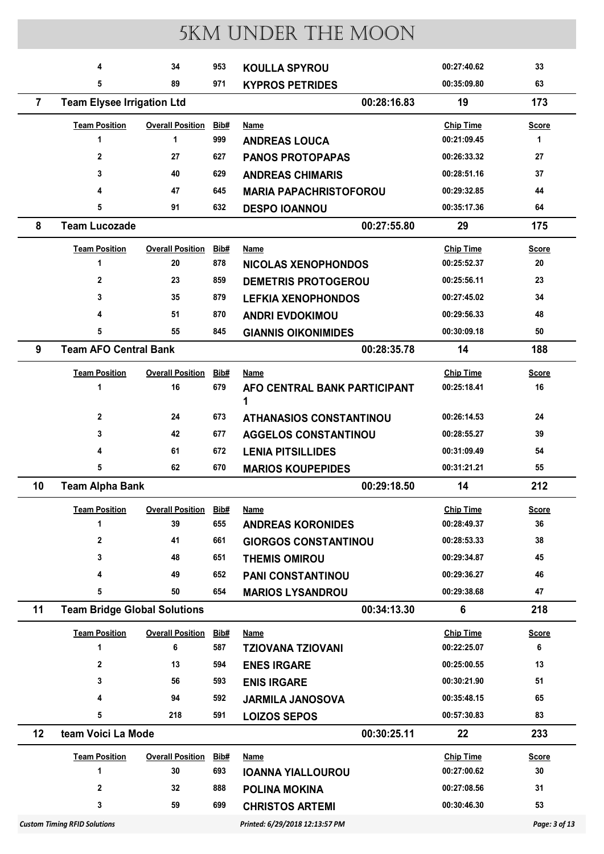|                | 4                                                               | 34                      | 953  | <b>KOULLA SPYROU</b>              | 00:27:40.62      | 33            |
|----------------|-----------------------------------------------------------------|-------------------------|------|-----------------------------------|------------------|---------------|
|                | 5                                                               | 89                      | 971  | <b>KYPROS PETRIDES</b>            | 00:35:09.80      | 63            |
| $\overline{7}$ | <b>Team Elysee Irrigation Ltd</b>                               |                         |      | 00:28:16.83                       | 19               | 173           |
|                | <b>Team Position</b>                                            | <b>Overall Position</b> | Bib# | Name                              | <b>Chip Time</b> | <b>Score</b>  |
|                | $\mathbf{1}$                                                    | $\mathbf 1$             | 999  | <b>ANDREAS LOUCA</b>              | 00:21:09.45      | 1             |
|                | $\mathbf{2}$                                                    | 27                      | 627  | <b>PANOS PROTOPAPAS</b>           | 00:26:33.32      | 27            |
|                | 3                                                               | 40                      | 629  | <b>ANDREAS CHIMARIS</b>           | 00:28:51.16      | 37            |
|                | 4                                                               | 47                      | 645  | <b>MARIA PAPACHRISTOFOROU</b>     | 00:29:32.85      | 44            |
|                | 5                                                               | 91                      | 632  | <b>DESPO IOANNOU</b>              | 00:35:17.36      | 64            |
| 8              | <b>Team Lucozade</b>                                            |                         |      | 00:27:55.80                       | 29               | 175           |
|                | <b>Team Position</b>                                            | <b>Overall Position</b> | Bib# | Name                              | <b>Chip Time</b> | <b>Score</b>  |
|                | 1                                                               | 20                      | 878  | <b>NICOLAS XENOPHONDOS</b>        | 00:25:52.37      | 20            |
|                | $\mathbf{2}$                                                    | 23                      | 859  | <b>DEMETRIS PROTOGEROU</b>        | 00:25:56.11      | 23            |
|                | 3                                                               | 35                      | 879  | <b>LEFKIA XENOPHONDOS</b>         | 00:27:45.02      | 34            |
|                | 4                                                               | 51                      | 870  | <b>ANDRI EVDOKIMOU</b>            | 00:29:56.33      | 48            |
|                | 5                                                               | 55                      | 845  | <b>GIANNIS OIKONIMIDES</b>        | 00:30:09.18      | 50            |
| 9              | <b>Team AFO Central Bank</b>                                    |                         |      | 00:28:35.78                       | 14               | 188           |
|                | <b>Team Position</b><br><b>Overall Position</b><br>Bib#<br>Name |                         |      |                                   | <b>Chip Time</b> | Score         |
|                | 1                                                               | 16                      | 679  | AFO CENTRAL BANK PARTICIPANT<br>1 | 00:25:18.41      | 16            |
|                | $\mathbf 2$                                                     | 24                      | 673  | <b>ATHANASIOS CONSTANTINOU</b>    | 00:26:14.53      | 24            |
|                | 3                                                               | 42                      | 677  | <b>AGGELOS CONSTANTINOU</b>       | 00:28:55.27      | 39            |
|                | 4                                                               | 61                      | 672  | <b>LENIA PITSILLIDES</b>          | 00:31:09.49      | 54            |
|                | 5                                                               | 62                      | 670  | <b>MARIOS KOUPEPIDES</b>          | 00:31:21.21      | 55            |
| 10             | <b>Team Alpha Bank</b>                                          |                         |      | 00:29:18.50                       | 14               | 212           |
|                | <b>Team Position</b>                                            | <b>Overall Position</b> | Bib# | <b>Name</b>                       | <b>Chip Time</b> | <b>Score</b>  |
|                | 1                                                               | 39                      | 655  | <b>ANDREAS KORONIDES</b>          | 00:28:49.37      | 36            |
|                | 2                                                               | 41                      | 661  | <b>GIORGOS CONSTANTINOU</b>       | 00:28:53.33      | 38            |
|                | 3                                                               | 48                      | 651  | <b>THEMIS OMIROU</b>              | 00:29:34.87      | 45            |
|                | 4                                                               | 49                      | 652  | <b>PANI CONSTANTINOU</b>          | 00:29:36.27      | 46            |
|                | 5                                                               | 50                      | 654  | <b>MARIOS LYSANDROU</b>           | 00:29:38.68      | 47            |
| 11             | <b>Team Bridge Global Solutions</b>                             |                         |      | 00:34:13.30                       | 6                | 218           |
|                | <b>Team Position</b>                                            | <b>Overall Position</b> | Bib# | Name                              | <b>Chip Time</b> | <b>Score</b>  |
|                | 1                                                               | 6                       | 587  | <b>TZIOVANA TZIOVANI</b>          | 00:22:25.07      | 6             |
|                | 2                                                               | 13                      | 594  | <b>ENES IRGARE</b>                | 00:25:00.55      | 13            |
|                | 3                                                               | 56                      | 593  | <b>ENIS IRGARE</b>                | 00:30:21.90      | 51            |
|                | 4                                                               | 94                      | 592  | <b>JARMILA JANOSOVA</b>           | 00:35:48.15      | 65            |
|                | 5                                                               | 218                     | 591  | <b>LOIZOS SEPOS</b>               | 00:57:30.83      | 83            |
| 12             | team Voici La Mode                                              |                         |      | 00:30:25.11                       | 22               | 233           |
|                | <b>Team Position</b>                                            | <b>Overall Position</b> | Bib# | Name                              | <b>Chip Time</b> | <b>Score</b>  |
|                | 1                                                               | 30                      | 693  | <b>IOANNA YIALLOUROU</b>          | 00:27:00.62      | 30            |
|                | 2                                                               | 32                      | 888  | <b>POLINA MOKINA</b>              | 00:27:08.56      | 31            |
|                | 3                                                               | 59                      | 699  | <b>CHRISTOS ARTEMI</b>            | 00:30:46.30      | 53            |
|                | <b>Custom Timing RFID Solutions</b>                             |                         |      | Printed: 6/29/2018 12:13:57 PM    |                  | Page: 3 of 13 |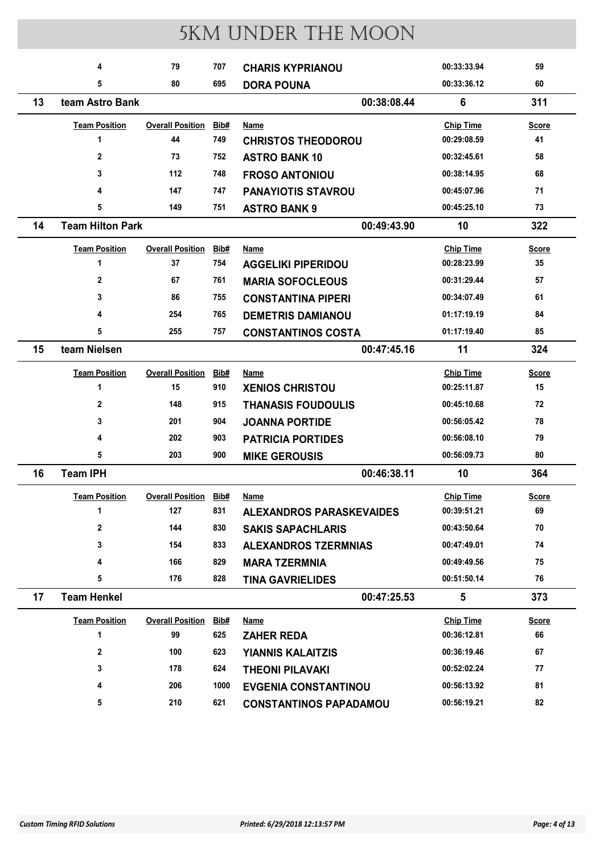|    | 4                       | 79                      | 707  | <b>CHARIS KYPRIANOU</b>         | 00:33:33.94      | 59           |
|----|-------------------------|-------------------------|------|---------------------------------|------------------|--------------|
|    | 5                       | 80                      | 695  | <b>DORA POUNA</b>               | 00:33:36.12      | 60           |
| 13 | team Astro Bank         |                         |      | 00:38:08.44                     | 6                | 311          |
|    | <b>Team Position</b>    | <b>Overall Position</b> | Bib# | Name                            | <b>Chip Time</b> | <b>Score</b> |
|    | 1                       | 44                      | 749  | <b>CHRISTOS THEODOROU</b>       | 00:29:08.59      | 41           |
|    | $\mathbf{2}$            | 73                      | 752  | <b>ASTRO BANK 10</b>            | 00:32:45.61      | 58           |
|    | 3                       | 112                     | 748  | <b>FROSO ANTONIOU</b>           | 00:38:14.95      | 68           |
|    | 4                       | 147                     | 747  | <b>PANAYIOTIS STAVROU</b>       | 00:45:07.96      | 71           |
|    | 5                       | 149                     | 751  | <b>ASTRO BANK 9</b>             | 00:45:25.10      | 73           |
| 14 | <b>Team Hilton Park</b> |                         |      | 00:49:43.90                     | 10               | 322          |
|    | <b>Team Position</b>    | <b>Overall Position</b> | Bib# | Name                            | <b>Chip Time</b> | <b>Score</b> |
|    | 1                       | 37                      | 754  | <b>AGGELIKI PIPERIDOU</b>       | 00:28:23.99      | 35           |
|    | $\mathbf{2}$            | 67                      | 761  | <b>MARIA SOFOCLEOUS</b>         | 00:31:29.44      | 57           |
|    | 3                       | 86                      | 755  | <b>CONSTANTINA PIPERI</b>       | 00:34:07.49      | 61           |
|    | 4                       | 254                     | 765  | <b>DEMETRIS DAMIANOU</b>        | 01:17:19.19      | 84           |
|    | 5                       | 255                     | 757  | <b>CONSTANTINOS COSTA</b>       | 01:17:19.40      | 85           |
| 15 | team Nielsen            |                         |      | 00:47:45.16                     | 11               | 324          |
|    | <b>Team Position</b>    | <b>Overall Position</b> | Bib# | Name                            | <b>Chip Time</b> | <b>Score</b> |
|    | 1                       | 15                      | 910  | <b>XENIOS CHRISTOU</b>          | 00:25:11.87      | 15           |
|    | $\mathbf{2}$            | 148                     | 915  | <b>THANASIS FOUDOULIS</b>       | 00:45:10.68      | 72           |
|    | 3                       | 201                     | 904  | <b>JOANNA PORTIDE</b>           | 00:56:05.42      | 78           |
|    | 4                       | 202                     | 903  | <b>PATRICIA PORTIDES</b>        | 00:56:08.10      | 79           |
|    | 5                       | 203                     | 900  | <b>MIKE GEROUSIS</b>            | 00:56:09.73      | 80           |
| 16 | <b>Team IPH</b>         |                         |      | 00:46:38.11                     | 10               | 364          |
|    | <b>Team Position</b>    | <b>Overall Position</b> | Bib# | Name                            | <b>Chip Time</b> | <b>Score</b> |
|    | 1                       | 127                     | 831  | <b>ALEXANDROS PARASKEVAIDES</b> | 00:39:51.21      | 69           |
|    | $\mathbf 2$             | 144                     | 830  | <b>SAKIS SAPACHLARIS</b>        | 00:43:50.64      | 70           |
|    | 3                       | 154                     | 833  | <b>ALEXANDROS TZERMNIAS</b>     | 00:47:49.01      | 74           |
|    | 4                       | 166                     | 829  | <b>MARA TZERMNIA</b>            | 00:49:49.56      | 75           |
|    | 5                       | 176                     | 828  | <b>TINA GAVRIELIDES</b>         | 00:51:50.14      | 76           |
| 17 | <b>Team Henkel</b>      |                         |      | 00:47:25.53                     | 5                | 373          |
|    | <b>Team Position</b>    | <b>Overall Position</b> | Bib# | <b>Name</b>                     | <b>Chip Time</b> | <b>Score</b> |
|    | 1                       | 99                      | 625  | <b>ZAHER REDA</b>               | 00:36:12.81      | 66           |
|    | $\mathbf 2$             | 100                     | 623  | <b>YIANNIS KALAITZIS</b>        | 00:36:19.46      | 67           |
|    | 3                       | 178                     | 624  | <b>THEONI PILAVAKI</b>          | 00:52:02.24      | 77           |
|    | 4                       | 206                     | 1000 | <b>EVGENIA CONSTANTINOU</b>     | 00:56:13.92      | 81           |
|    | 5                       | 210                     | 621  | <b>CONSTANTINOS PAPADAMOU</b>   | 00:56:19.21      | 82           |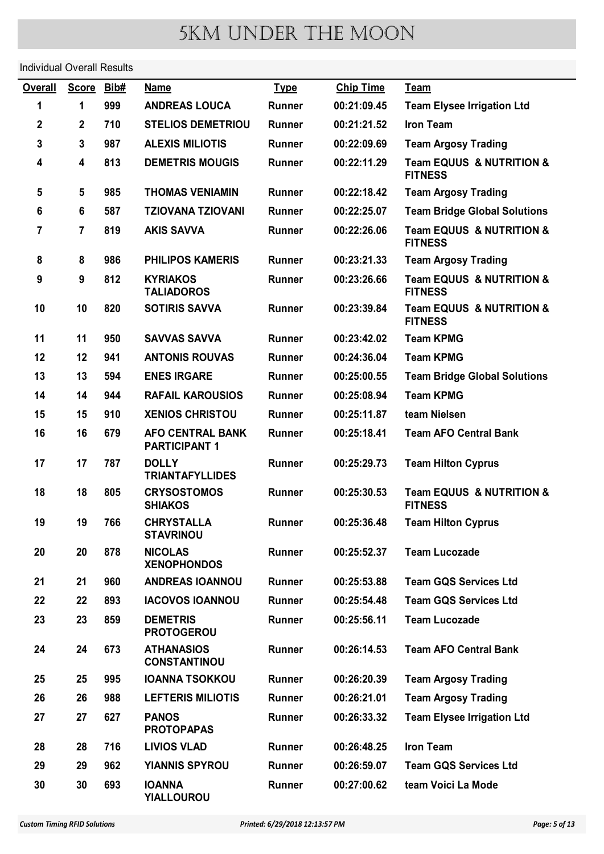Individual Overall Results

| <b>Overall</b> | <b>Score</b>     | Bib# | <b>Name</b>                                     | <b>Type</b>   | <b>Chip Time</b> | <b>Team</b>                                               |
|----------------|------------------|------|-------------------------------------------------|---------------|------------------|-----------------------------------------------------------|
| 1              | 1                | 999  | <b>ANDREAS LOUCA</b>                            | <b>Runner</b> | 00:21:09.45      | <b>Team Elysee Irrigation Ltd</b>                         |
| 2              | $\boldsymbol{2}$ | 710  | <b>STELIOS DEMETRIOU</b>                        | <b>Runner</b> | 00:21:21.52      | <b>Iron Team</b>                                          |
| 3              | $\mathbf 3$      | 987  | <b>ALEXIS MILIOTIS</b>                          | <b>Runner</b> | 00:22:09.69      | <b>Team Argosy Trading</b>                                |
| 4              | 4                | 813  | <b>DEMETRIS MOUGIS</b>                          | <b>Runner</b> | 00:22:11.29      | <b>Team EQUUS &amp; NUTRITION &amp;</b><br><b>FITNESS</b> |
| 5              | 5                | 985  | <b>THOMAS VENIAMIN</b>                          | <b>Runner</b> | 00:22:18.42      | <b>Team Argosy Trading</b>                                |
| 6              | $6\phantom{1}$   | 587  | <b>TZIOVANA TZIOVANI</b>                        | <b>Runner</b> | 00:22:25.07      | <b>Team Bridge Global Solutions</b>                       |
| 7              | $\overline{7}$   | 819  | <b>AKIS SAVVA</b>                               | <b>Runner</b> | 00:22:26.06      | <b>Team EQUUS &amp; NUTRITION &amp;</b><br><b>FITNESS</b> |
| 8              | 8                | 986  | <b>PHILIPOS KAMERIS</b>                         | <b>Runner</b> | 00:23:21.33      | <b>Team Argosy Trading</b>                                |
| 9              | $\boldsymbol{9}$ | 812  | <b>KYRIAKOS</b><br><b>TALIADOROS</b>            | <b>Runner</b> | 00:23:26.66      | <b>Team EQUUS &amp; NUTRITION &amp;</b><br><b>FITNESS</b> |
| 10             | 10               | 820  | <b>SOTIRIS SAVVA</b>                            | Runner        | 00:23:39.84      | <b>Team EQUUS &amp; NUTRITION &amp;</b><br><b>FITNESS</b> |
| 11             | 11               | 950  | <b>SAVVAS SAVVA</b>                             | <b>Runner</b> | 00:23:42.02      | <b>Team KPMG</b>                                          |
| 12             | 12               | 941  | <b>ANTONIS ROUVAS</b>                           | <b>Runner</b> | 00:24:36.04      | <b>Team KPMG</b>                                          |
| 13             | 13               | 594  | <b>ENES IRGARE</b>                              | <b>Runner</b> | 00:25:00.55      | <b>Team Bridge Global Solutions</b>                       |
| 14             | 14               | 944  | <b>RAFAIL KAROUSIOS</b>                         | <b>Runner</b> | 00:25:08.94      | <b>Team KPMG</b>                                          |
| 15             | 15               | 910  | <b>XENIOS CHRISTOU</b>                          | <b>Runner</b> | 00:25:11.87      | team Nielsen                                              |
| 16             | 16               | 679  | <b>AFO CENTRAL BANK</b><br><b>PARTICIPANT 1</b> | <b>Runner</b> | 00:25:18.41      | <b>Team AFO Central Bank</b>                              |
| 17             | 17               | 787  | <b>DOLLY</b><br><b>TRIANTAFYLLIDES</b>          | Runner        | 00:25:29.73      | <b>Team Hilton Cyprus</b>                                 |
| 18             | 18               | 805  | <b>CRYSOSTOMOS</b><br><b>SHIAKOS</b>            | Runner        | 00:25:30.53      | <b>Team EQUUS &amp; NUTRITION &amp;</b><br><b>FITNESS</b> |
| 19             | 19               | 766  | <b>CHRYSTALLA</b><br><b>STAVRINOU</b>           | <b>Runner</b> | 00:25:36.48      | <b>Team Hilton Cyprus</b>                                 |
| 20             | 20               | 878  | <b>NICOLAS</b><br><b>XENOPHONDOS</b>            | <b>Runner</b> | 00:25:52.37      | <b>Team Lucozade</b>                                      |
| 21             | 21               | 960  | <b>ANDREAS IOANNOU</b>                          | <b>Runner</b> | 00:25:53.88      | <b>Team GQS Services Ltd</b>                              |
| 22             | 22               | 893  | <b>IACOVOS IOANNOU</b>                          | <b>Runner</b> | 00:25:54.48      | <b>Team GQS Services Ltd</b>                              |
| 23             | 23               | 859  | <b>DEMETRIS</b><br><b>PROTOGEROU</b>            | Runner        | 00:25:56.11      | <b>Team Lucozade</b>                                      |
| 24             | 24               | 673  | <b>ATHANASIOS</b><br><b>CONSTANTINOU</b>        | <b>Runner</b> | 00:26:14.53      | <b>Team AFO Central Bank</b>                              |
| 25             | 25               | 995  | <b>IOANNA TSOKKOU</b>                           | <b>Runner</b> | 00:26:20.39      | <b>Team Argosy Trading</b>                                |
| 26             | 26               | 988  | <b>LEFTERIS MILIOTIS</b>                        | <b>Runner</b> | 00:26:21.01      | <b>Team Argosy Trading</b>                                |
| 27             | 27               | 627  | <b>PANOS</b><br><b>PROTOPAPAS</b>               | Runner        | 00:26:33.32      | <b>Team Elysee Irrigation Ltd</b>                         |
| 28             | 28               | 716  | <b>LIVIOS VLAD</b>                              | <b>Runner</b> | 00:26:48.25      | <b>Iron Team</b>                                          |
| 29             | 29               | 962  | <b>YIANNIS SPYROU</b>                           | <b>Runner</b> | 00:26:59.07      | <b>Team GQS Services Ltd</b>                              |
| 30             | 30               | 693  | <b>IOANNA</b><br><b>YIALLOUROU</b>              | Runner        | 00:27:00.62      | team Voici La Mode                                        |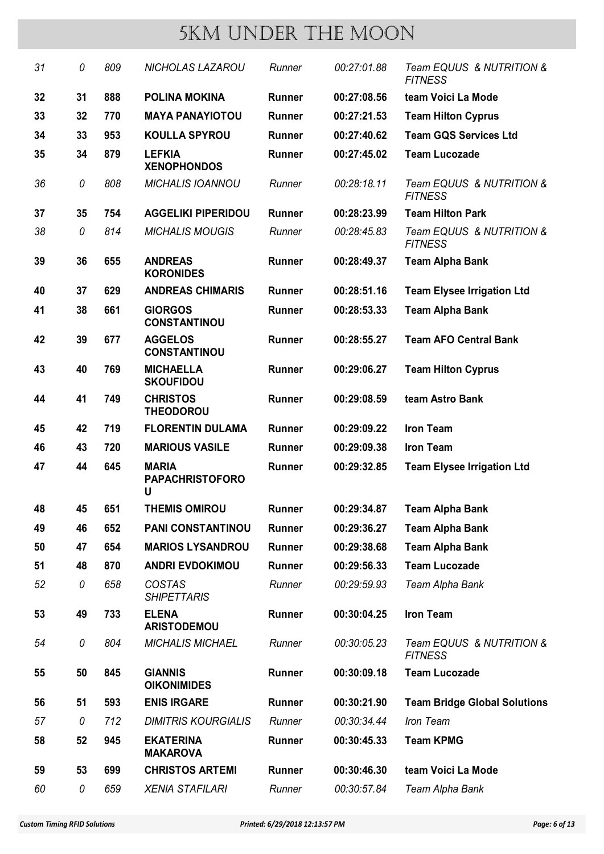| 31 | 0  | 809 | <b>NICHOLAS LAZAROU</b>                     | Runner        | 00:27:01.88 | Team EQUUS & NUTRITION &<br><b>FITNESS</b> |
|----|----|-----|---------------------------------------------|---------------|-------------|--------------------------------------------|
| 32 | 31 | 888 | <b>POLINA MOKINA</b>                        | <b>Runner</b> | 00:27:08.56 | team Voici La Mode                         |
| 33 | 32 | 770 | <b>MAYA PANAYIOTOU</b>                      | <b>Runner</b> | 00:27:21.53 | <b>Team Hilton Cyprus</b>                  |
| 34 | 33 | 953 | <b>KOULLA SPYROU</b>                        | <b>Runner</b> | 00:27:40.62 | <b>Team GQS Services Ltd</b>               |
| 35 | 34 | 879 | <b>LEFKIA</b><br><b>XENOPHONDOS</b>         | <b>Runner</b> | 00:27:45.02 | <b>Team Lucozade</b>                       |
| 36 | 0  | 808 | <b>MICHALIS IOANNOU</b>                     | Runner        | 00:28:18.11 | Team EQUUS & NUTRITION &<br><b>FITNESS</b> |
| 37 | 35 | 754 | <b>AGGELIKI PIPERIDOU</b>                   | <b>Runner</b> | 00:28:23.99 | <b>Team Hilton Park</b>                    |
| 38 | 0  | 814 | <b>MICHALIS MOUGIS</b>                      | Runner        | 00:28:45.83 | Team EQUUS & NUTRITION &<br><b>FITNESS</b> |
| 39 | 36 | 655 | <b>ANDREAS</b><br><b>KORONIDES</b>          | <b>Runner</b> | 00:28:49.37 | <b>Team Alpha Bank</b>                     |
| 40 | 37 | 629 | <b>ANDREAS CHIMARIS</b>                     | <b>Runner</b> | 00:28:51.16 | <b>Team Elysee Irrigation Ltd</b>          |
| 41 | 38 | 661 | <b>GIORGOS</b><br><b>CONSTANTINOU</b>       | <b>Runner</b> | 00:28:53.33 | <b>Team Alpha Bank</b>                     |
| 42 | 39 | 677 | <b>AGGELOS</b><br><b>CONSTANTINOU</b>       | <b>Runner</b> | 00:28:55.27 | <b>Team AFO Central Bank</b>               |
| 43 | 40 | 769 | <b>MICHAELLA</b><br><b>SKOUFIDOU</b>        | <b>Runner</b> | 00:29:06.27 | <b>Team Hilton Cyprus</b>                  |
| 44 | 41 | 749 | <b>CHRISTOS</b><br><b>THEODOROU</b>         | <b>Runner</b> | 00:29:08.59 | team Astro Bank                            |
| 45 | 42 | 719 | <b>FLORENTIN DULAMA</b>                     | <b>Runner</b> | 00:29:09.22 | <b>Iron Team</b>                           |
| 46 | 43 | 720 | <b>MARIOUS VASILE</b>                       | Runner        | 00:29:09.38 | <b>Iron Team</b>                           |
| 47 | 44 | 645 | <b>MARIA</b><br><b>PAPACHRISTOFORO</b><br>U | Runner        | 00:29:32.85 | <b>Team Elysee Irrigation Ltd</b>          |
| 48 | 45 | 651 | <b>THEMIS OMIROU</b>                        | Runner        | 00:29:34.87 | <b>Team Alpha Bank</b>                     |
| 49 | 46 | 652 | <b>PANI CONSTANTINOU</b>                    | Runner        | 00:29:36.27 | <b>Team Alpha Bank</b>                     |
| 50 | 47 | 654 | <b>MARIOS LYSANDROU</b>                     | <b>Runner</b> | 00:29:38.68 | <b>Team Alpha Bank</b>                     |
| 51 | 48 | 870 | <b>ANDRI EVDOKIMOU</b>                      | <b>Runner</b> | 00:29:56.33 | <b>Team Lucozade</b>                       |
| 52 | 0  | 658 | <b>COSTAS</b><br><b>SHIPETTARIS</b>         | Runner        | 00:29:59.93 | Team Alpha Bank                            |
| 53 | 49 | 733 | <b>ELENA</b><br><b>ARISTODEMOU</b>          | Runner        | 00:30:04.25 | <b>Iron Team</b>                           |
| 54 | 0  | 804 | <b>MICHALIS MICHAEL</b>                     | Runner        | 00:30:05.23 | Team EQUUS & NUTRITION &<br><b>FITNESS</b> |
| 55 | 50 | 845 | <b>GIANNIS</b><br><b>OIKONIMIDES</b>        | Runner        | 00:30:09.18 | <b>Team Lucozade</b>                       |
| 56 | 51 | 593 | <b>ENIS IRGARE</b>                          | Runner        | 00:30:21.90 | <b>Team Bridge Global Solutions</b>        |
| 57 | 0  | 712 | <b>DIMITRIS KOURGIALIS</b>                  | Runner        | 00:30:34.44 | Iron Team                                  |
| 58 | 52 | 945 | <b>EKATERINA</b><br><b>MAKAROVA</b>         | Runner        | 00:30:45.33 | <b>Team KPMG</b>                           |
| 59 | 53 | 699 | <b>CHRISTOS ARTEMI</b>                      | Runner        | 00:30:46.30 | team Voici La Mode                         |
| 60 | 0  | 659 | <b>XENIA STAFILARI</b>                      | Runner        | 00:30:57.84 | Team Alpha Bank                            |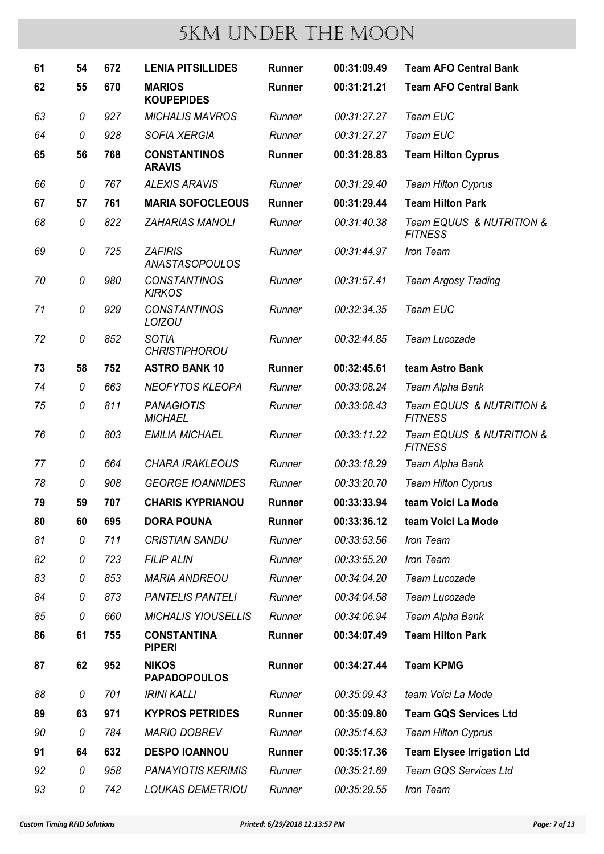| 61 | 54 | 672 | <b>LENIA PITSILLIDES</b>                | <b>Runner</b> | 00:31:09.49 | <b>Team AFO Central Bank</b>               |
|----|----|-----|-----------------------------------------|---------------|-------------|--------------------------------------------|
| 62 | 55 | 670 | <b>MARIOS</b><br><b>KOUPEPIDES</b>      | <b>Runner</b> | 00:31:21.21 | <b>Team AFO Central Bank</b>               |
| 63 | 0  | 927 | <b>MICHALIS MAVROS</b>                  | Runner        | 00:31:27.27 | Team EUC                                   |
| 64 | 0  | 928 | <b>SOFIA XERGIA</b>                     | Runner        | 00:31:27.27 | Team EUC                                   |
| 65 | 56 | 768 | <b>CONSTANTINOS</b><br><b>ARAVIS</b>    | <b>Runner</b> | 00:31:28.83 | <b>Team Hilton Cyprus</b>                  |
| 66 | 0  | 767 | <b>ALEXIS ARAVIS</b>                    | Runner        | 00:31:29.40 | <b>Team Hilton Cyprus</b>                  |
| 67 | 57 | 761 | <b>MARIA SOFOCLEOUS</b>                 | <b>Runner</b> | 00:31:29.44 | <b>Team Hilton Park</b>                    |
| 68 | 0  | 822 | <b>ZAHARIAS MANOLI</b>                  | Runner        | 00:31:40.38 | Team EQUUS & NUTRITION &<br><b>FITNESS</b> |
| 69 | 0  | 725 | <b>ZAFIRIS</b><br><b>ANASTASOPOULOS</b> | Runner        | 00:31:44.97 | Iron Team                                  |
| 70 | 0  | 980 | <b>CONSTANTINOS</b><br><b>KIRKOS</b>    | Runner        | 00:31:57.41 | <b>Team Argosy Trading</b>                 |
| 71 | 0  | 929 | <b>CONSTANTINOS</b><br><b>LOIZOU</b>    | Runner        | 00:32:34.35 | <b>Team EUC</b>                            |
| 72 | 0  | 852 | <b>SOTIA</b><br><b>CHRISTIPHOROU</b>    | Runner        | 00:32:44.85 | Team Lucozade                              |
| 73 | 58 | 752 | <b>ASTRO BANK 10</b>                    | <b>Runner</b> | 00:32:45.61 | team Astro Bank                            |
| 74 | 0  | 663 | <b>NEOFYTOS KLEOPA</b>                  | Runner        | 00:33:08.24 | Team Alpha Bank                            |
| 75 | 0  | 811 | <b>PANAGIOTIS</b><br><b>MICHAEL</b>     | Runner        | 00:33:08.43 | Team EQUUS & NUTRITION &<br><b>FITNESS</b> |
| 76 | 0  | 803 | <b>EMILIA MICHAEL</b>                   | Runner        | 00:33:11.22 | Team EQUUS & NUTRITION &<br><b>FITNESS</b> |
| 77 | 0  | 664 | <b>CHARA IRAKLEOUS</b>                  | Runner        | 00:33:18.29 | Team Alpha Bank                            |
| 78 | 0  | 908 | <b>GEORGE IOANNIDES</b>                 | Runner        | 00:33:20.70 | <b>Team Hilton Cyprus</b>                  |
| 79 | 59 | 707 | <b>CHARIS KYPRIANOU</b>                 | <b>Runner</b> | 00:33:33.94 | team Voici La Mode                         |
| 80 | 60 | 695 | <b>DORA POUNA</b>                       | <b>Runner</b> | 00:33:36.12 | team Voici La Mode                         |
| 81 | 0  | 711 | <b>CRISTIAN SANDU</b>                   | Runner        | 00:33:53.56 | Iron Team                                  |
| 82 | 0  | 723 | <b>FILIP ALIN</b>                       | Runner        | 00:33:55.20 | Iron Team                                  |
| 83 | 0  | 853 | <b>MARIA ANDREOU</b>                    | Runner        | 00:34:04.20 | Team Lucozade                              |
| 84 | 0  | 873 | <b>PANTELIS PANTELI</b>                 | Runner        | 00:34:04.58 | Team Lucozade                              |
| 85 | 0  | 660 | <b>MICHALIS YIOUSELLIS</b>              | Runner        | 00:34:06.94 | Team Alpha Bank                            |
| 86 | 61 | 755 | <b>CONSTANTINA</b><br><b>PIPERI</b>     | <b>Runner</b> | 00:34:07.49 | <b>Team Hilton Park</b>                    |
| 87 | 62 | 952 | <b>NIKOS</b><br><b>PAPADOPOULOS</b>     | Runner        | 00:34:27.44 | <b>Team KPMG</b>                           |
| 88 | 0  | 701 | <b>IRINI KALLI</b>                      | Runner        | 00:35:09.43 | team Voici La Mode                         |
| 89 | 63 | 971 | <b>KYPROS PETRIDES</b>                  | <b>Runner</b> | 00:35:09.80 | <b>Team GQS Services Ltd</b>               |
| 90 | 0  | 784 | <b>MARIO DOBREV</b>                     | Runner        | 00:35:14.63 | <b>Team Hilton Cyprus</b>                  |
| 91 | 64 | 632 | <b>DESPO IOANNOU</b>                    | <b>Runner</b> | 00:35:17.36 | <b>Team Elysee Irrigation Ltd</b>          |
| 92 | 0  | 958 | <b>PANAYIOTIS KERIMIS</b>               | Runner        | 00:35:21.69 | Team GQS Services Ltd                      |
| 93 | 0  | 742 | <b>LOUKAS DEMETRIOU</b>                 | Runner        | 00:35:29.55 | Iron Team                                  |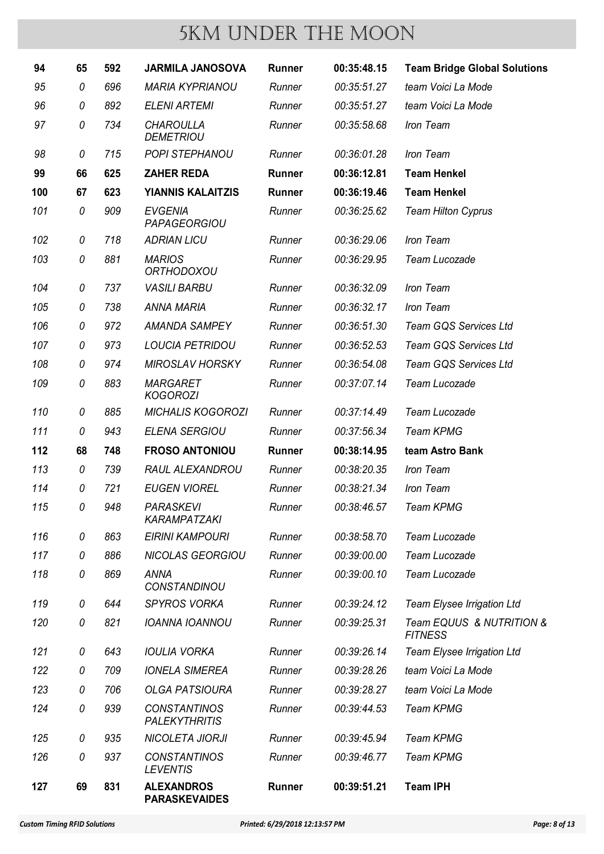| 94  | 65 | 592 | <b>JARMILA JANOSOVA</b>                     | <b>Runner</b> | 00:35:48.15 | <b>Team Bridge Global Solutions</b>        |
|-----|----|-----|---------------------------------------------|---------------|-------------|--------------------------------------------|
| 95  | 0  | 696 | <b>MARIA KYPRIANOU</b>                      | Runner        | 00:35:51.27 | team Voici La Mode                         |
| 96  | 0  | 892 | <b>ELENI ARTEMI</b>                         | Runner        | 00:35:51.27 | team Voici La Mode                         |
| 97  | 0  | 734 | <b>CHAROULLA</b><br><b>DEMETRIOU</b>        | Runner        | 00:35:58.68 | Iron Team                                  |
| 98  | 0  | 715 | <b>POPI STEPHANOU</b>                       | Runner        | 00:36:01.28 | Iron Team                                  |
| 99  | 66 | 625 | <b>ZAHER REDA</b>                           | <b>Runner</b> | 00:36:12.81 | <b>Team Henkel</b>                         |
| 100 | 67 | 623 | <b>YIANNIS KALAITZIS</b>                    | <b>Runner</b> | 00:36:19.46 | <b>Team Henkel</b>                         |
| 101 | 0  | 909 | <b>EVGENIA</b><br>PAPAGEORGIOU              | Runner        | 00:36:25.62 | <b>Team Hilton Cyprus</b>                  |
| 102 | 0  | 718 | <b>ADRIAN LICU</b>                          | Runner        | 00:36:29.06 | Iron Team                                  |
| 103 | 0  | 881 | <b>MARIOS</b><br><b>ORTHODOXOU</b>          | Runner        | 00:36:29.95 | <b>Team Lucozade</b>                       |
| 104 | 0  | 737 | <b>VASILI BARBU</b>                         | Runner        | 00:36:32.09 | Iron Team                                  |
| 105 | 0  | 738 | <b>ANNA MARIA</b>                           | Runner        | 00:36:32.17 | Iron Team                                  |
| 106 | 0  | 972 | <b>AMANDA SAMPEY</b>                        | Runner        | 00:36:51.30 | Team GQS Services Ltd                      |
| 107 | 0  | 973 | <b>LOUCIA PETRIDOU</b>                      | Runner        | 00:36:52.53 | Team GQS Services Ltd                      |
| 108 | 0  | 974 | <b>MIROSLAV HORSKY</b>                      | Runner        | 00:36:54.08 | Team GQS Services Ltd                      |
| 109 | 0  | 883 | <b>MARGARET</b><br><b>KOGOROZI</b>          | Runner        | 00:37:07.14 | Team Lucozade                              |
| 110 | 0  | 885 | <b>MICHALIS KOGOROZI</b>                    | Runner        | 00:37:14.49 | <b>Team Lucozade</b>                       |
| 111 | 0  | 943 | <b>ELENA SERGIOU</b>                        | Runner        | 00:37:56.34 | <b>Team KPMG</b>                           |
| 112 | 68 | 748 | <b>FROSO ANTONIOU</b>                       | <b>Runner</b> | 00:38:14.95 | team Astro Bank                            |
| 113 | 0  | 739 | <b>RAUL ALEXANDROU</b>                      | Runner        | 00:38:20.35 | Iron Team                                  |
| 114 | 0  | 721 | <b>EUGEN VIOREL</b>                         | Runner        | 00:38:21.34 | Iron Team                                  |
| 115 | 0  | 948 | <b>PARASKEVI</b><br>KARAMPATZAKI            | Runner        | 00:38:46.57 | <b>Team KPMG</b>                           |
| 116 | 0  | 863 | <b>EIRINI KAMPOURI</b>                      | Runner        | 00:38:58.70 | Team Lucozade                              |
| 117 | 0  | 886 | <b>NICOLAS GEORGIOU</b>                     | Runner        | 00:39:00.00 | Team Lucozade                              |
| 118 | 0  | 869 | <b>ANNA</b><br><b>CONSTANDINOU</b>          | Runner        | 00:39:00.10 | Team Lucozade                              |
| 119 | 0  | 644 | <b>SPYROS VORKA</b>                         | Runner        | 00:39:24.12 | Team Elysee Irrigation Ltd                 |
| 120 | 0  | 821 | <b>IOANNA IOANNOU</b>                       | Runner        | 00:39:25.31 | Team EQUUS & NUTRITION &<br><b>FITNESS</b> |
| 121 | 0  | 643 | <b>IOULIA VORKA</b>                         | Runner        | 00:39:26.14 | Team Elysee Irrigation Ltd                 |
| 122 | 0  | 709 | <b>IONELA SIMEREA</b>                       | Runner        | 00:39:28.26 | team Voici La Mode                         |
| 123 | 0  | 706 | <b>OLGA PATSIOURA</b>                       | Runner        | 00:39:28.27 | team Voici La Mode                         |
| 124 | 0  | 939 | <b>CONSTANTINOS</b><br><b>PALEKYTHRITIS</b> | Runner        | 00:39:44.53 | <b>Team KPMG</b>                           |
| 125 | 0  | 935 | <b>NICOLETA JIORJI</b>                      | Runner        | 00:39:45.94 | <b>Team KPMG</b>                           |
| 126 | 0  | 937 | <b>CONSTANTINOS</b><br><b>LEVENTIS</b>      | Runner        | 00:39:46.77 | <b>Team KPMG</b>                           |
| 127 | 69 | 831 | <b>ALEXANDROS</b><br><b>PARASKEVAIDES</b>   | Runner        | 00:39:51.21 | <b>Team IPH</b>                            |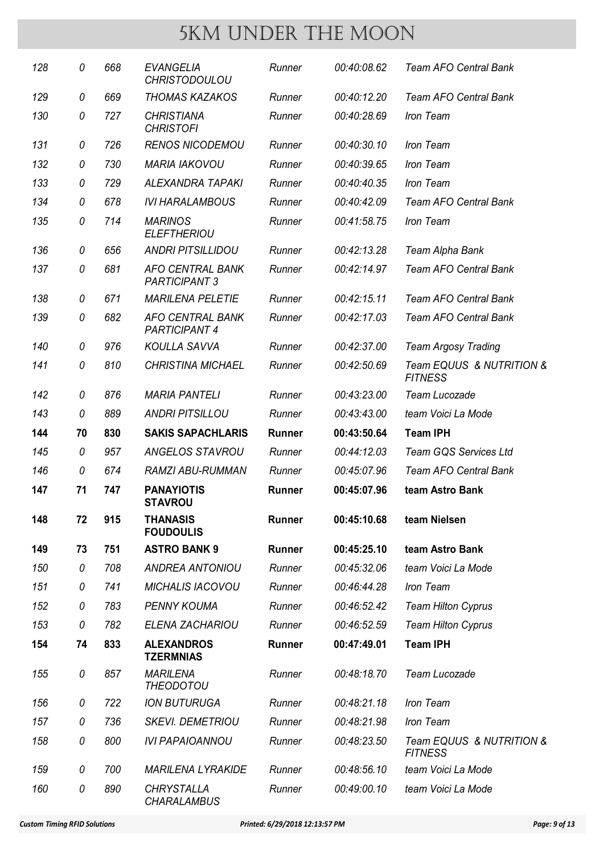| 128 | 0  | 668 | <b>EVANGELIA</b><br><b>CHRISTODOULOU</b>        | Runner        | 00:40:08.62 | <b>Team AFO Central Bank</b>               |
|-----|----|-----|-------------------------------------------------|---------------|-------------|--------------------------------------------|
| 129 | 0  | 669 | <b>THOMAS KAZAKOS</b>                           | Runner        | 00:40:12.20 | <b>Team AFO Central Bank</b>               |
| 130 | 0  | 727 | <b>CHRISTIANA</b><br><b>CHRISTOFI</b>           | Runner        | 00:40:28.69 | Iron Team                                  |
| 131 | 0  | 726 | <b>RENOS NICODEMOU</b>                          | Runner        | 00:40:30.10 | Iron Team                                  |
| 132 | 0  | 730 | <b>MARIA IAKOVOU</b>                            | Runner        | 00:40:39.65 | Iron Team                                  |
| 133 | 0  | 729 | <b>ALEXANDRA TAPAKI</b>                         | Runner        | 00:40:40.35 | Iron Team                                  |
| 134 | 0  | 678 | <b>IVI HARALAMBOUS</b>                          | Runner        | 00:40:42.09 | <b>Team AFO Central Bank</b>               |
| 135 | 0  | 714 | <b>MARINOS</b><br><b>ELEFTHERIOU</b>            | Runner        | 00:41:58.75 | Iron Team                                  |
| 136 | 0  | 656 | <b>ANDRI PITSILLIDOU</b>                        | Runner        | 00:42:13.28 | Team Alpha Bank                            |
| 137 | 0  | 681 | <b>AFO CENTRAL BANK</b><br><b>PARTICIPANT 3</b> | Runner        | 00:42:14.97 | <b>Team AFO Central Bank</b>               |
| 138 | 0  | 671 | <b>MARILENA PELETIE</b>                         | Runner        | 00:42:15.11 | <b>Team AFO Central Bank</b>               |
| 139 | 0  | 682 | <b>AFO CENTRAL BANK</b><br><b>PARTICIPANT 4</b> | Runner        | 00:42:17.03 | <b>Team AFO Central Bank</b>               |
| 140 | 0  | 976 | <b>KOULLA SAVVA</b>                             | Runner        | 00:42:37.00 | <b>Team Argosy Trading</b>                 |
| 141 | 0  | 810 | <b>CHRISTINA MICHAEL</b>                        | Runner        | 00:42:50.69 | Team EQUUS & NUTRITION &<br><b>FITNESS</b> |
| 142 | 0  | 876 | <b>MARIA PANTELI</b>                            | Runner        | 00:43:23.00 | Team Lucozade                              |
| 143 | 0  | 889 | <b>ANDRI PITSILLOU</b>                          | Runner        | 00:43:43.00 | team Voici La Mode                         |
| 144 | 70 | 830 | <b>SAKIS SAPACHLARIS</b>                        | <b>Runner</b> | 00:43:50.64 | <b>Team IPH</b>                            |
| 145 | 0  | 957 | <b>ANGELOS STAVROU</b>                          | Runner        | 00:44:12.03 | <b>Team GQS Services Ltd</b>               |
| 146 | 0  | 674 | <b>RAMZI ABU-RUMMAN</b>                         | Runner        | 00:45:07.96 | <b>Team AFO Central Bank</b>               |
| 147 | 71 | 747 | <b>PANAYIOTIS</b><br><b>STAVROU</b>             | <b>Runner</b> | 00:45:07.96 | team Astro Bank                            |
| 148 | 72 | 915 | <b>THANASIS</b><br><b>FOUDOULIS</b>             | <b>Runner</b> | 00:45:10.68 | team Nielsen                               |
| 149 | 73 | 751 | <b>ASTRO BANK 9</b>                             | <b>Runner</b> | 00:45:25.10 | team Astro Bank                            |
| 150 | 0  | 708 | <b>ANDREA ANTONIOU</b>                          | Runner        | 00:45:32.06 | team Voici La Mode                         |
| 151 | 0  | 741 | <b>MICHALIS IACOVOU</b>                         | Runner        | 00:46:44.28 | Iron Team                                  |
| 152 | 0  | 783 | <b>PENNY KOUMA</b>                              | Runner        | 00:46:52.42 | <b>Team Hilton Cyprus</b>                  |
| 153 | 0  | 782 | <b>ELENA ZACHARIOU</b>                          | Runner        | 00:46:52.59 | <b>Team Hilton Cyprus</b>                  |
| 154 | 74 | 833 | <b>ALEXANDROS</b><br><b>TZERMNIAS</b>           | Runner        | 00:47:49.01 | <b>Team IPH</b>                            |
| 155 | 0  | 857 | <b>MARILENA</b><br><b>THEODOTOU</b>             | Runner        | 00:48:18.70 | Team Lucozade                              |
| 156 | 0  | 722 | <b>ION BUTURUGA</b>                             | Runner        | 00:48:21.18 | Iron Team                                  |
| 157 | 0  | 736 | <b>SKEVI. DEMETRIOU</b>                         | Runner        | 00:48:21.98 | Iron Team                                  |
| 158 | 0  | 800 | <b>IVI PAPAIOANNOU</b>                          | Runner        | 00:48:23.50 | Team EQUUS & NUTRITION &<br><b>FITNESS</b> |
| 159 | 0  | 700 | <b>MARILENA LYRAKIDE</b>                        | Runner        | 00:48:56.10 | team Voici La Mode                         |
| 160 | 0  | 890 | <b>CHRYSTALLA</b><br><b>CHARALAMBUS</b>         | Runner        | 00:49:00.10 | team Voici La Mode                         |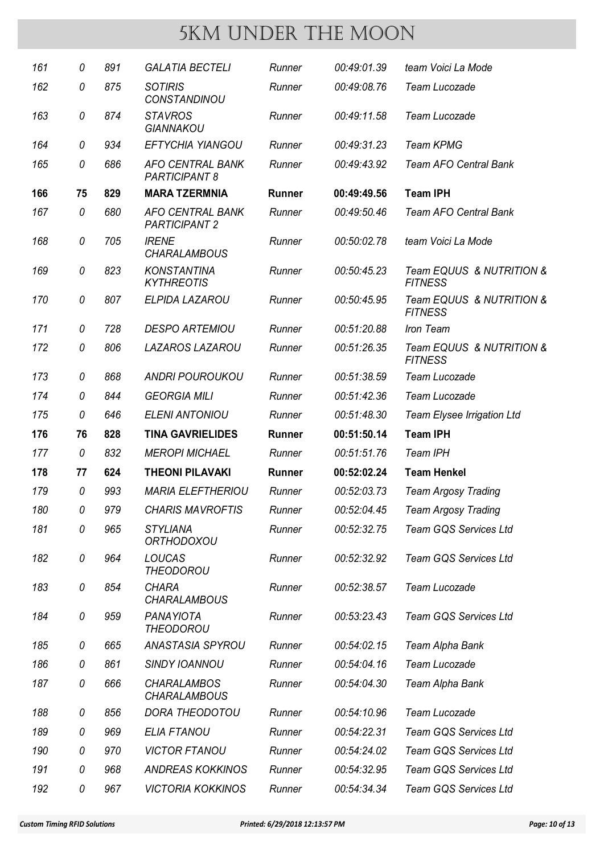| 161 | 0  | 891 | <b>GALATIA BECTELI</b>                          | Runner        | 00:49:01.39 | team Voici La Mode                         |
|-----|----|-----|-------------------------------------------------|---------------|-------------|--------------------------------------------|
| 162 | 0  | 875 | <b>SOTIRIS</b><br>CONSTANDINOU                  | Runner        | 00:49:08.76 | Team Lucozade                              |
| 163 | 0  | 874 | <b>STAVROS</b><br><b>GIANNAKOU</b>              | Runner        | 00:49:11.58 | <b>Team Lucozade</b>                       |
| 164 | 0  | 934 | <b>EFTYCHIA YIANGOU</b>                         | Runner        | 00:49:31.23 | <b>Team KPMG</b>                           |
| 165 | 0  | 686 | <b>AFO CENTRAL BANK</b><br><b>PARTICIPANT 8</b> | Runner        | 00:49:43.92 | <b>Team AFO Central Bank</b>               |
| 166 | 75 | 829 | <b>MARA TZERMNIA</b>                            | <b>Runner</b> | 00:49:49.56 | <b>Team IPH</b>                            |
| 167 | 0  | 680 | <b>AFO CENTRAL BANK</b><br><b>PARTICIPANT 2</b> | Runner        | 00:49:50.46 | <b>Team AFO Central Bank</b>               |
| 168 | 0  | 705 | <b>IRENE</b><br><b>CHARALAMBOUS</b>             | Runner        | 00:50:02.78 | team Voici La Mode                         |
| 169 | 0  | 823 | <b>KONSTANTINA</b><br><b>KYTHREOTIS</b>         | Runner        | 00:50:45.23 | Team EQUUS & NUTRITION &<br><b>FITNESS</b> |
| 170 | 0  | 807 | ELPIDA LAZAROU                                  | Runner        | 00:50:45.95 | Team EQUUS & NUTRITION &<br><b>FITNESS</b> |
| 171 | 0  | 728 | <b>DESPO ARTEMIOU</b>                           | Runner        | 00:51:20.88 | Iron Team                                  |
| 172 | 0  | 806 | <b>LAZAROS LAZAROU</b>                          | Runner        | 00:51:26.35 | Team EQUUS & NUTRITION &<br><b>FITNESS</b> |
| 173 | 0  | 868 | <b>ANDRI POUROUKOU</b>                          | Runner        | 00:51:38.59 | <b>Team Lucozade</b>                       |
| 174 | 0  | 844 | <b>GEORGIA MILI</b>                             | Runner        | 00:51:42.36 | <b>Team Lucozade</b>                       |
| 175 | 0  | 646 | <b>ELENI ANTONIOU</b>                           | Runner        | 00:51:48.30 | Team Elysee Irrigation Ltd                 |
| 176 | 76 | 828 | <b>TINA GAVRIELIDES</b>                         | <b>Runner</b> | 00:51:50.14 | <b>Team IPH</b>                            |
| 177 | 0  | 832 | <b>MEROPI MICHAEL</b>                           | Runner        | 00:51:51.76 | Team IPH                                   |
| 178 | 77 | 624 | <b>THEONI PILAVAKI</b>                          | <b>Runner</b> | 00:52:02.24 | <b>Team Henkel</b>                         |
| 179 | 0  | 993 | <b>MARIA ELEFTHERIOU</b>                        | Runner        | 00:52:03.73 | <b>Team Argosy Trading</b>                 |
| 180 | 0  | 979 | <b>CHARIS MAVROFTIS</b>                         | Runner        | 00:52:04.45 | <b>Team Argosy Trading</b>                 |
| 181 | 0  | 965 | <b>STYLIANA</b><br><b>ORTHODOXOU</b>            | Runner        | 00:52:32.75 | <b>Team GQS Services Ltd</b>               |
| 182 | 0  | 964 | <b>LOUCAS</b><br>THEODOROU                      | Runner        | 00:52:32.92 | <b>Team GQS Services Ltd</b>               |
| 183 | 0  | 854 | <b>CHARA</b><br><b>CHARALAMBOUS</b>             | Runner        | 00:52:38.57 | Team Lucozade                              |
| 184 | 0  | 959 | PANAYIOTA<br><b>THEODOROU</b>                   | Runner        | 00:53:23.43 | Team GQS Services Ltd                      |
| 185 | 0  | 665 | <b>ANASTASIA SPYROU</b>                         | Runner        | 00:54:02.15 | Team Alpha Bank                            |
| 186 | 0  | 861 | <b>SINDY IOANNOU</b>                            | Runner        | 00:54:04.16 | Team Lucozade                              |
| 187 | 0  | 666 | <b>CHARALAMBOS</b><br><b>CHARALAMBOUS</b>       | Runner        | 00:54:04.30 | Team Alpha Bank                            |
| 188 | 0  | 856 | <b>DORA THEODOTOU</b>                           | Runner        | 00:54:10.96 | Team Lucozade                              |
| 189 | 0  | 969 | <b>ELIA FTANOU</b>                              | Runner        | 00:54:22.31 | <b>Team GQS Services Ltd</b>               |
| 190 | 0  | 970 | <b>VICTOR FTANOU</b>                            | Runner        | 00:54:24.02 | <b>Team GQS Services Ltd</b>               |
| 191 | 0  | 968 | <b>ANDREAS KOKKINOS</b>                         | Runner        | 00:54:32.95 | <b>Team GQS Services Ltd</b>               |
|     |    |     | <b>VICTORIA KOKKINOS</b>                        |               |             |                                            |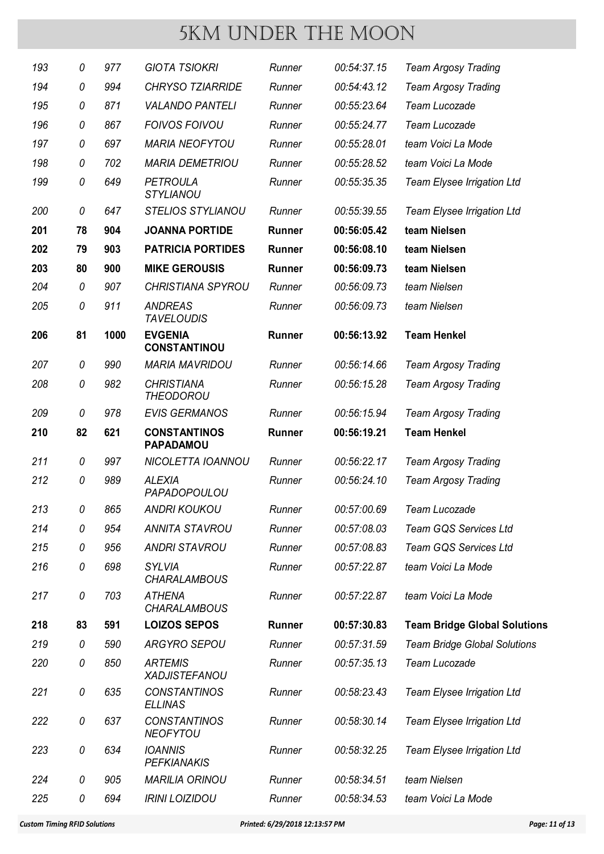| 193 | 0  | 977  | <b>GIOTA TSIOKRI</b>                    | Runner        | 00:54:37.15 | <b>Team Argosy Trading</b>          |
|-----|----|------|-----------------------------------------|---------------|-------------|-------------------------------------|
| 194 | 0  | 994  | <b>CHRYSO TZIARRIDE</b>                 | Runner        | 00:54:43.12 | <b>Team Argosy Trading</b>          |
| 195 | 0  | 871  | <b>VALANDO PANTELI</b>                  | Runner        | 00:55:23.64 | Team Lucozade                       |
| 196 | 0  | 867  | <b>FOIVOS FOIVOU</b>                    | Runner        | 00:55:24.77 | Team Lucozade                       |
| 197 | 0  | 697  | <b>MARIA NEOFYTOU</b>                   | Runner        | 00:55:28.01 | team Voici La Mode                  |
| 198 | 0  | 702  | <b>MARIA DEMETRIOU</b>                  | Runner        | 00:55:28.52 | team Voici La Mode                  |
| 199 | 0  | 649  | <b>PETROULA</b><br><b>STYLIANOU</b>     | Runner        | 00:55:35.35 | Team Elysee Irrigation Ltd          |
| 200 | 0  | 647  | <b>STELIOS STYLIANOU</b>                | Runner        | 00:55:39.55 | Team Elysee Irrigation Ltd          |
| 201 | 78 | 904  | <b>JOANNA PORTIDE</b>                   | <b>Runner</b> | 00:56:05.42 | team Nielsen                        |
| 202 | 79 | 903  | <b>PATRICIA PORTIDES</b>                | <b>Runner</b> | 00:56:08.10 | team Nielsen                        |
| 203 | 80 | 900  | <b>MIKE GEROUSIS</b>                    | <b>Runner</b> | 00:56:09.73 | team Nielsen                        |
| 204 | 0  | 907  | <b>CHRISTIANA SPYROU</b>                | Runner        | 00:56:09.73 | team Nielsen                        |
| 205 | 0  | 911  | <b>ANDREAS</b><br><b>TAVELOUDIS</b>     | Runner        | 00:56:09.73 | team Nielsen                        |
| 206 | 81 | 1000 | <b>EVGENIA</b><br><b>CONSTANTINOU</b>   | <b>Runner</b> | 00:56:13.92 | <b>Team Henkel</b>                  |
| 207 | 0  | 990  | <b>MARIA MAVRIDOU</b>                   | Runner        | 00:56:14.66 | <b>Team Argosy Trading</b>          |
| 208 | 0  | 982  | <b>CHRISTIANA</b><br><b>THEODOROU</b>   | Runner        | 00:56:15.28 | <b>Team Argosy Trading</b>          |
| 209 | 0  | 978  | <b>EVIS GERMANOS</b>                    | Runner        | 00:56:15.94 | <b>Team Argosy Trading</b>          |
| 210 | 82 | 621  | <b>CONSTANTINOS</b><br><b>PAPADAMOU</b> | <b>Runner</b> | 00:56:19.21 | <b>Team Henkel</b>                  |
| 211 | 0  | 997  | NICOLETTA IOANNOU                       | Runner        | 00:56:22.17 | <b>Team Argosy Trading</b>          |
| 212 | 0  | 989  | <b>ALEXIA</b><br>PAPADOPOULOU           | Runner        | 00:56:24.10 | <b>Team Argosy Trading</b>          |
| 213 | 0  | 865  | ANDRI KOUKOU                            | Runner        | 00:57:00.69 | Team Lucozade                       |
| 214 | 0  | 954  | <b>ANNITA STAVROU</b>                   | Runner        | 00:57:08.03 | Team GQS Services Ltd               |
| 215 | 0  | 956  | <b>ANDRI STAVROU</b>                    | Runner        | 00:57:08.83 | Team GQS Services Ltd               |
| 216 | 0  | 698  | <b>SYLVIA</b><br><b>CHARALAMBOUS</b>    | Runner        | 00:57:22.87 | team Voici La Mode                  |
| 217 | 0  | 703  | <b>ATHENA</b><br><b>CHARALAMBOUS</b>    | Runner        | 00:57:22.87 | team Voici La Mode                  |
| 218 | 83 | 591  | <b>LOIZOS SEPOS</b>                     | <b>Runner</b> | 00:57:30.83 | <b>Team Bridge Global Solutions</b> |
| 219 | 0  | 590  | <b>ARGYRO SEPOU</b>                     | Runner        | 00:57:31.59 | <b>Team Bridge Global Solutions</b> |
| 220 | 0  | 850  | <b>ARTEMIS</b><br><b>XADJISTEFANOU</b>  | Runner        | 00:57:35.13 | Team Lucozade                       |
| 221 | 0  | 635  | <b>CONSTANTINOS</b><br><b>ELLINAS</b>   | Runner        | 00:58:23.43 | Team Elysee Irrigation Ltd          |
| 222 | 0  | 637  | <b>CONSTANTINOS</b><br><b>NEOFYTOU</b>  | Runner        | 00:58:30.14 | Team Elysee Irrigation Ltd          |
| 223 | 0  | 634  | <b>IOANNIS</b><br><b>PEFKIANAKIS</b>    | Runner        | 00:58:32.25 | Team Elysee Irrigation Ltd          |
| 224 | 0  | 905  | <b>MARILIA ORINOU</b>                   | Runner        | 00:58:34.51 | team Nielsen                        |
| 225 | 0  | 694  | <b>IRINI LOIZIDOU</b>                   | Runner        | 00:58:34.53 | team Voici La Mode                  |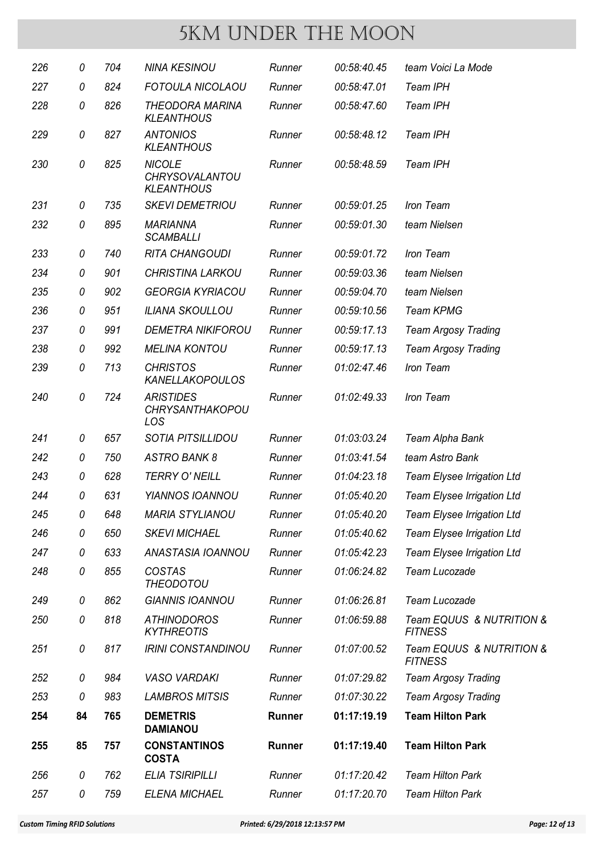| 226 | 0  | 704 | <b>NINA KESINOU</b>                                  | Runner        | 00:58:40.45 | team Voici La Mode                         |
|-----|----|-----|------------------------------------------------------|---------------|-------------|--------------------------------------------|
| 227 | 0  | 824 | FOTOULA NICOLAOU                                     | Runner        | 00:58:47.01 | Team IPH                                   |
| 228 | 0  | 826 | <b>THEODORA MARINA</b><br><b>KLEANTHOUS</b>          | Runner        | 00:58:47.60 | Team IPH                                   |
| 229 | 0  | 827 | <b>ANTONIOS</b><br><b>KLEANTHOUS</b>                 | Runner        | 00:58:48.12 | Team IPH                                   |
| 230 | 0  | 825 | <b>NICOLE</b><br>CHRYSOVALANTOU<br><b>KLEANTHOUS</b> | Runner        | 00:58:48.59 | Team IPH                                   |
| 231 | 0  | 735 | <b>SKEVI DEMETRIOU</b>                               | Runner        | 00:59:01.25 | Iron Team                                  |
| 232 | 0  | 895 | <b>MARIANNA</b><br><b>SCAMBALLI</b>                  | Runner        | 00:59:01.30 | team Nielsen                               |
| 233 | 0  | 740 | <b>RITA CHANGOUDI</b>                                | Runner        | 00:59:01.72 | Iron Team                                  |
| 234 | 0  | 901 | <b>CHRISTINA LARKOU</b>                              | Runner        | 00:59:03.36 | team Nielsen                               |
| 235 | 0  | 902 | <b>GEORGIA KYRIACOU</b>                              | Runner        | 00:59:04.70 | team Nielsen                               |
| 236 | 0  | 951 | <b>ILIANA SKOULLOU</b>                               | Runner        | 00:59:10.56 | <b>Team KPMG</b>                           |
| 237 | 0  | 991 | <b>DEMETRA NIKIFOROU</b>                             | Runner        | 00:59:17.13 | <b>Team Argosy Trading</b>                 |
| 238 | 0  | 992 | <b>MELINA KONTOU</b>                                 | Runner        | 00:59:17.13 | <b>Team Argosy Trading</b>                 |
| 239 | 0  | 713 | <b>CHRISTOS</b><br><b>KANELLAKOPOULOS</b>            | Runner        | 01:02:47.46 | Iron Team                                  |
| 240 | 0  | 724 | <b>ARISTIDES</b><br><b>CHRYSANTHAKOPOU</b><br>LOS    | Runner        | 01:02:49.33 | Iron Team                                  |
| 241 | 0  | 657 | <b>SOTIA PITSILLIDOU</b>                             | Runner        | 01:03:03.24 | Team Alpha Bank                            |
| 242 | 0  | 750 | <b>ASTRO BANK 8</b>                                  | Runner        | 01:03:41.54 | team Astro Bank                            |
| 243 | 0  | 628 | <b>TERRY O' NEILL</b>                                | Runner        | 01:04:23.18 | Team Elysee Irrigation Ltd                 |
| 244 | 0  | 631 | <b>YIANNOS IOANNOU</b>                               | Runner        | 01:05:40.20 | Team Elysee Irrigation Ltd                 |
| 245 | 0  | 648 | <b>MARIA STYLIANOU</b>                               | Runner        | 01:05:40.20 | Team Elysee Irrigation Ltd                 |
| 246 | 0  | 650 | <b>SKEVI MICHAEL</b>                                 | Runner        | 01:05:40.62 | Team Elysee Irrigation Ltd                 |
| 247 | 0  | 633 | ANASTASIA IOANNOU                                    | Runner        | 01:05:42.23 | Team Elysee Irrigation Ltd                 |
| 248 | 0  | 855 | <b>COSTAS</b><br><b>THEODOTOU</b>                    | Runner        | 01:06:24.82 | Team Lucozade                              |
| 249 | 0  | 862 | <b>GIANNIS IOANNOU</b>                               | Runner        | 01:06:26.81 | Team Lucozade                              |
| 250 | 0  | 818 | <b>ATHINODOROS</b><br><b>KYTHREOTIS</b>              | Runner        | 01:06:59.88 | Team EQUUS & NUTRITION &<br><b>FITNESS</b> |
| 251 | 0  | 817 | <b>IRINI CONSTANDINOU</b>                            | Runner        | 01:07:00.52 | Team EQUUS & NUTRITION &<br><b>FITNESS</b> |
| 252 | 0  | 984 | <b>VASO VARDAKI</b>                                  | Runner        | 01:07:29.82 | <b>Team Argosy Trading</b>                 |
| 253 | 0  | 983 | <b>LAMBROS MITSIS</b>                                | Runner        | 01:07:30.22 | <b>Team Argosy Trading</b>                 |
| 254 | 84 | 765 | <b>DEMETRIS</b><br><b>DAMIANOU</b>                   | <b>Runner</b> | 01:17:19.19 | <b>Team Hilton Park</b>                    |
| 255 | 85 | 757 | <b>CONSTANTINOS</b><br><b>COSTA</b>                  | Runner        | 01:17:19.40 | <b>Team Hilton Park</b>                    |
| 256 | 0  | 762 | <b>ELIA TSIRIPILLI</b>                               | Runner        | 01:17:20.42 | <b>Team Hilton Park</b>                    |
| 257 | 0  | 759 | <b>ELENA MICHAEL</b>                                 | Runner        | 01:17:20.70 | <b>Team Hilton Park</b>                    |